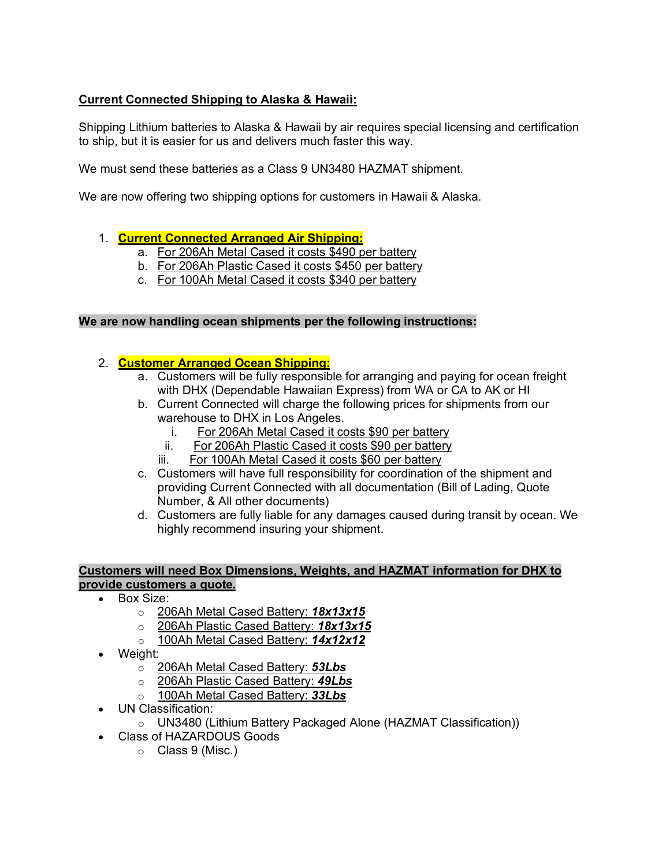# **Current Connected Shipping to Alaska & Hawaii:**

Shipping Lithium batteries to Alaska & Hawaii by air requires special licensing and certification to ship, but it is easier for us and delivers much faster this way.

We must send these batteries as a Class 9 UN3480 HAZMAT shipment.

We are now offering two shipping options for customers in Hawaii & Alaska.

## 1. **Current Connected Arranged Air Shipping:**

- a. For 206Ah Metal Cased it costs \$490 per battery
- b. For 206Ah Plastic Cased it costs \$450 per battery
- c. For 100Ah Metal Cased it costs \$340 per battery

### **We are now handling ocean shipments per the following instructions:**

## 2. **Customer Arranged Ocean Shipping:**

- a. Customers will be fully responsible for arranging and paying for ocean freight with DHX (Dependable Hawaiian Express) from WA or CA to AK or HI
- b. Current Connected will charge the following prices for shipments from our warehouse to DHX in Los Angeles.
	- i. For 206Ah Metal Cased it costs \$90 per battery
	- ii. For 206Ah Plastic Cased it costs \$90 per battery
	- iii. For 100Ah Metal Cased it costs \$60 per battery
- c. Customers will have full responsibility for coordination of the shipment and providing Current Connected with all documentation (Bill of Lading, Quote Number, & All other documents)
- d. Customers are fully liable for any damages caused during transit by ocean. We highly recommend insuring your shipment.

#### **Customers will need Box Dimensions, Weights, and HAZMAT information for DHX to provide customers a quote.**

- Box Size:
	- o 206Ah Metal Cased Battery: *18x13x15*
	- o 206Ah Plastic Cased Battery: *18x13x15*
	- o 100Ah Metal Cased Battery: *14x12x12*
- Weight:
	- o 206Ah Metal Cased Battery: *53Lbs*
	- o 206Ah Plastic Cased Battery: *49Lbs*
	- o 100Ah Metal Cased Battery: *33Lbs*
- UN Classification:
	- o UN3480 (Lithium Battery Packaged Alone (HAZMAT Classification))
- Class of HAZARDOUS Goods
	- o Class 9 (Misc.)